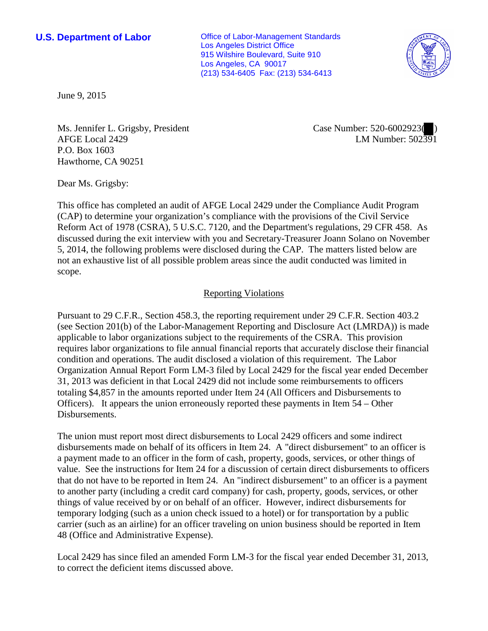**U.S. Department of Labor Conservative Conservative Conservative Conservative Conservative Conservative Conservative Conservative Conservative Conservative Conservative Conservative Conservative Conservative Conservative** Los Angeles District Office 915 Wilshire Boulevard, Suite 910 Los Angeles, CA 90017 (213) 534-6405 Fax: (213) 534-6413



June 9, 2015

Ms. Jennifer L. Grigsby, President AFGE Local 2429 P.O. Box 1603 Hawthorne, CA 90251

Case Number: 520-6002923( ) LM Number: 502391

Dear Ms. Grigsby:

This office has completed an audit of AFGE Local 2429 under the Compliance Audit Program (CAP) to determine your organization's compliance with the provisions of the Civil Service Reform Act of 1978 (CSRA), 5 U.S.C. 7120, and the Department's regulations, 29 CFR 458. As discussed during the exit interview with you and Secretary-Treasurer Joann Solano on November 5, 2014, the following problems were disclosed during the CAP. The matters listed below are not an exhaustive list of all possible problem areas since the audit conducted was limited in scope.

## Reporting Violations

Pursuant to 29 C.F.R., Section 458.3, the reporting requirement under 29 C.F.R. Section 403.2 (see Section 201(b) of the Labor-Management Reporting and Disclosure Act (LMRDA)) is made applicable to labor organizations subject to the requirements of the CSRA. This provision requires labor organizations to file annual financial reports that accurately disclose their financial condition and operations. The audit disclosed a violation of this requirement. The Labor Organization Annual Report Form LM-3 filed by Local 2429 for the fiscal year ended December 31, 2013 was deficient in that Local 2429 did not include some reimbursements to officers totaling \$4,857 in the amounts reported under Item 24 (All Officers and Disbursements to Officers). It appears the union erroneously reported these payments in Item 54 – Other Disbursements.

The union must report most direct disbursements to Local 2429 officers and some indirect disbursements made on behalf of its officers in Item 24. A "direct disbursement" to an officer is a payment made to an officer in the form of cash, property, goods, services, or other things of value. See the instructions for Item 24 for a discussion of certain direct disbursements to officers that do not have to be reported in Item 24. An "indirect disbursement" to an officer is a payment to another party (including a credit card company) for cash, property, goods, services, or other things of value received by or on behalf of an officer. However, indirect disbursements for temporary lodging (such as a union check issued to a hotel) or for transportation by a public carrier (such as an airline) for an officer traveling on union business should be reported in Item 48 (Office and Administrative Expense).

Local 2429 has since filed an amended Form LM-3 for the fiscal year ended December 31, 2013, to correct the deficient items discussed above.